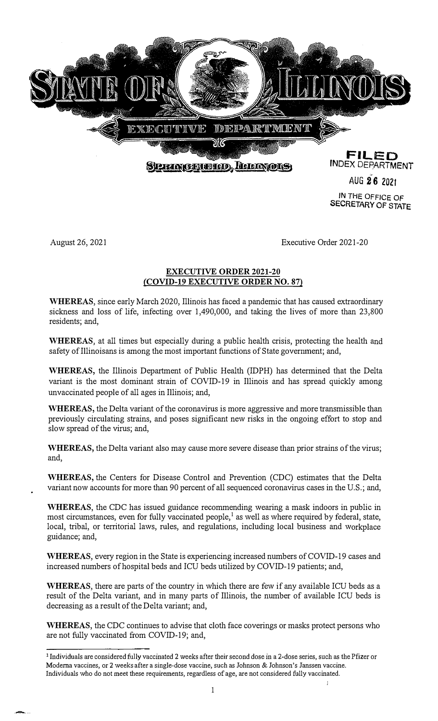

**IN** THE OFFICE OF **SECRETARY OF STATE** 

August 26, 2021

Executive Order 2021-20

#### **EXECUTIVE ORDER 2021-20 (COVID-19 EXECUTIVE ORDER NO. 87)**

**WHEREAS,** since early March 2020, Illinois has faced a pandemic that has caused extraordinary sickness and loss of life, infecting over 1,490,000, and taking the lives of more than 23,800 residents; and,

**WHEREAS,** at all times but especially during a public health crisis, protecting the health and safety of Illinoisans is among the most important functions of State govermnent; and,

**WHEREAS,** the Illinois Department of Public Health (IDPH) has determined that the Delta variant is the most dominant strain of COVID-19 in Illinois and has spread quickly among unvaccinated people of all ages in Illinois; and,

**WHEREAS,** the Delta variant of the coronavirus is more aggressive and more transmissible than previously circulating strains, and poses significant new risks in the ongoing effort to stop and slow spread of the virus; and,

**WHEREAS,** the Delta variant also may cause more severe disease than prior strains of the virus; and,

**WHEREAS,** the Centers for Disease Control and Prevention (CDC) estimates that the Delta variant now accounts for more than 90 percent of all sequenced coronavirus cases in the U.S.; and,

**WHEREAS,** the CDC has issued guidance recommending wearing a mask indoors in public in most circumstances, even for fully vaccinated people,<sup>1</sup> as well as where required by federal, state, local, tribal, or territorial laws, rules, and regulations, including local business and workplace guidance; and,

**WHEREAS,** every region in the State is experiencing increased numbers of COVID-19 cases and increased numbers of hospital beds and ICU beds utilized by COVID-19 patients; and,

**WHEREAS**, there are parts of the country in which there are few if any available ICU beds as a result of the Delta variant, and in many parts of Illinois, the number of available ICU beds is decreasing as a result of the Delta variant; and,

**WHEREAS,** the CDC continues to advise that cloth face coverings or masks protect persons who are not fully vaccinated from COVID-19; and,

<sup>1</sup>Individuals are considered fully vaccinated 2 weeks after their second dose in a 2-dose series, such as the Pfizer or **Modema vaccines, or 2 weeks after a single-dose vaccine, such as Johnson & Johnson's Janssen vaccine. Individuals who do not meet these requirements, regardless of age, are not considered fully vaccinated.**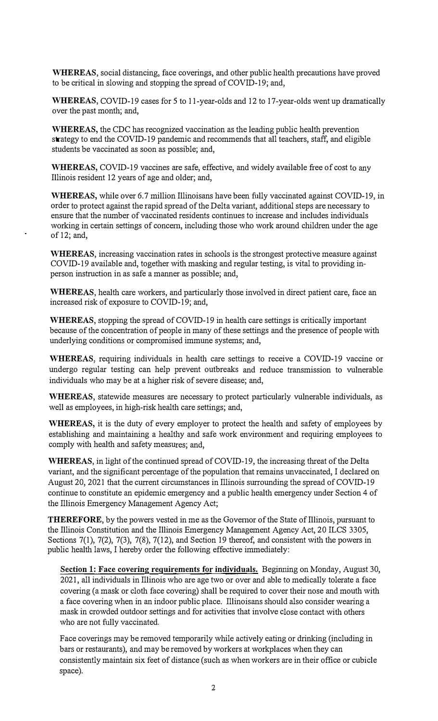**WHEREAS,** social distancing, face coverings, and other public health precautions have proved to be critical in slowing and stopping the spread of COVID-19; and,

**WHEREAS,** COVID-19 cases for 5 to 11-year-olds and 12 to 17-year-olds went up dramatically over the past month; and,

**WHEREAS,** the CDC has recognized vaccination as the leading public health prevention strategy to end the COVID-19 pandemic and recommends that all teachers, staff, and eligible students be vaccinated as soon as possible; and,

**WHEREAS,** COVID-19 vaccines are safe, effective, and widely available free of cost to any Illinois resident 12 years of age and older; and,

**WHEREAS,** while over 6.7 million Illinoisans have been fully vaccinated against COVID-19, in order to protect against the rapid spread of the Delta variant, additional steps are necessary to ensure that the number of vaccinated residents continues to increase and includes individuals working in certain settings of concern, including those who work around children under the age of 12; and,

**WHEREAS,** increasing vaccination rates in schools is the strongest protective measure against COVID-19 available and, together with masking and regular testing, is vital to providing inperson instruction in as safe a manner as possible; and,

**WHEREAS,** health care workers, and particularly those involved in direct patient care, face an increased risk of exposure to COVID-19; and,

**WHEREAS,** stopping the spread of COVID-19 in health care settings is critically important because of the concentration of people in many of these settings and the presence of people with underlying conditions or compromised immune systems; and,

**WHEREAS,** requiring individuals in health care settings to receive a COVID-19 vaccine or undergo regular testing can help prevent outbreaks and reduce transmission to vulnerable individuals who may be at a higher risk of severe disease; and,

**WHEREAS,** statewide measures are necessary to protect particularly vulnerable individuals, as well as employees, in high-risk health care settings; and,

WHEREAS, it is the duty of every employer to protect the health and safety of employees by establishing and maintaining a healthy and safe work enviromnent and requiring employees to comply with health and safety measures; and,

**WHEREAS,** in light of the continued spread of COVID-19, the increasing threat of the Delta variant, and the significant percentage of the population that remains unvaccinated, I declared on August 20, 2021 that the current circumstances in Illinois surrounding the spread of COVID-19 continue to constitute an epidemic emergency and a public health emergency under Section 4 of the Illinois Emergency Management Agency Act;

**THEREFORE,** by the powers vested in me as the Governor of the State of Illinois, pursuant to the Illinois Constitution and the Illinois Emergency Management Agency Act, 20 ILCS 3305, Sections 7(1), 7(2), 7(3), 7(8), 7(12), and Section 19 thereof, and consistent with the powers in public health laws, I hereby order the following effective immediately:

**Section 1: Face covering requirements for individuals.** Beginning on Monday, August 30, 2021, all individuals in Illinois who are age two or over and able to medically tolerate a face covering (a mask or cloth face covering) shall be required to cover their nose and mouth with a face covering when in an indoor public place. Illinoisans should also consider wearing a mask in crowded outdoor settings and for activities that involve close contact with others who are not fully vaccinated.

Face coverings may be removed temporarily while actively eating or drinking (including in bars or restaurants), and may be removed by workers at workplaces when they can consistently maintain six feet of distance (such as when workers are in their office or cubicle space).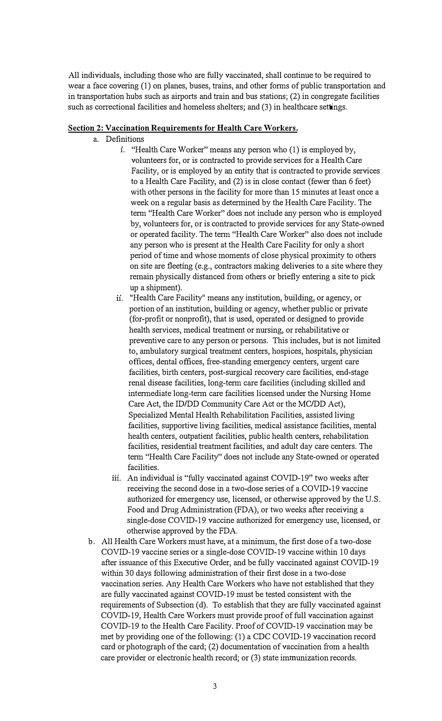**All individuals, including those who are fully vaccinated, shall continue to be required to wear a face covering (1) on planes, buses, trains, and other fonns of public transportation and in transportation hubs such as airports and train and bus stations; (2) in congregate facilities such as correctional facilities and homeless shelters; and (3) in healthcare settings.** 

#### **Section 2: Vaccination Requirements for Health Care Workers.**

- **a. Definitions** 
	- 1. **"Health Care Worker" means any person who (I) is employed by, volunteers for, or is contracted to provide services for a Health Care Facility, or is employed by an entity that is contracted to provide services to a Health Care Facility, and (2) is in close contact (fewer than 6 feet) with other persons in the facility for more than I 5 minutes at least once a week on a regular basis as determined by the Health Care Facility. The tenn "Health Care Worker" does not include any person who is employed by, volunteers for, or is contracted to provide services for any State-owned or operated facility. The tenn "Health Care Worker" also does not include any person who is present at the Health Care Facility for only a short period of time and whose moments of close physical proximity to others on site are fleeting ( e.g., contractors making deliveries to a site where they remain physically distanced from others or briefly entering a site to pick up a shipment).**
	- 11. **"Health Care Facility" means any institution, building, or agency, or portion of an institution, building or agency, whether public or private (for-profit or nonprofit), that is used, operated or designed to provide health services, medical treatment or nursing, or rehabilitative or preventive care to any person or persons. This includes, but is not limited**  to, ambulatory surgical treatment centers, hospices, hospitals, physician **offices, dental offices, free-standing emergency centers, urgent care facilities, birth centers, post-surgical recovery care facilities, end-stage renal disease facilities, long-tenn care facilities (including skilled and intennediate long-term care facilities licensed under the Nursing Home Care Act, the ID/DD Community Care Act or the MC/DD Act), Specialized Mental Health Rehabilitation Facilities, assisted living facilities, supportive living facilities, medical assistance facilities, mental health centers, outpatient facilities, public health centers, rehabilitation facilities, residential treatment facilities, and adult day care centers. The tenn "Health Care Facility" does not include any State-owned or operated facilities.**
	- iii. An individual is "fully vaccinated against COVID-19" two weeks after **receiving the second dose in a two-dose series of a COVID-19 vaccine authorized for emergency use, licensed, or otherwise approved by the U.S. Food and Drug Administration (FDA), or two weeks after receiving a single-dose COVID-19 vaccine authorized for emergency use, licensed, or otherwise approved by the FDA.**
- **b. All Health Care Workers must have, at a minimum, the first dose of a two-dose COVID-19 vaccine series or a single-dose COVID-19 vaccine within 10 days after issuance of this Executive Order, and be fully vaccinated against COVID-19 within 30 days following administration of their first dose in a two-dose vaccination series. Any Health Care Workers who have not established that they are fully vaccinated against COVID-19 must be tested consistent with the requirements of Subsection ( d). To establish that they are fully vaccinated against COVID-19, Health Care Workers must provide proof of full vaccination against COVID-19 to the Health Care Facility. Proof of COVID-19 vaccination may be met by providing one of the following:(!) a CDC COVID-19 vaccination record card or photograph of the card; (2) documentation of vaccination from a health care provider or electronic health record; or (3) state immunization records.**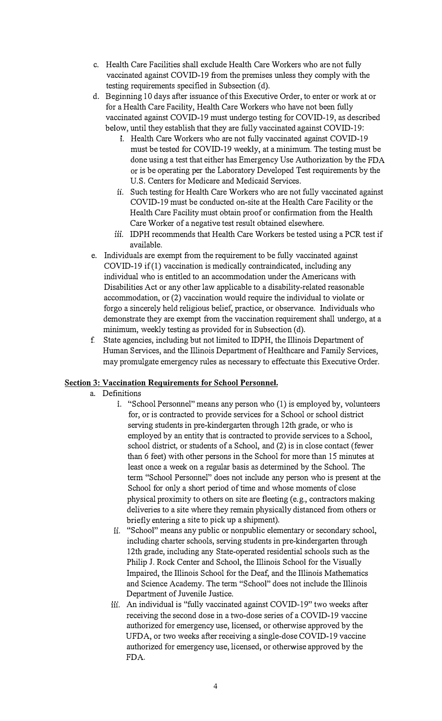- c. Health Care Facilities shall exclude Health Care Workers who are not fully vaccinated against COVID-19 from the premises unless they comply with the testing requirements specified in Subsection (d).
- d. Beginning 10 days after issuance of this Executive Order, to enter or work at or for a Health Care Facility, Health Care Workers who have not been fully vaccinated against COVID-19 must undergo testing for COVID-19, as described below, until they establish that they are fully vaccinated against COVID-19:
	- i. Health Care Workers who are not fully vaccinated against COVID-19 must be tested for COVID-19 weekly, at a minimum. The testing must be done using a test that either has Emergency Use Authorization by the FDA or is be operating per the Laboratory Developed Test requirements by the U.S. Centers for Medicare and Medicaid Services.
	- ii. Such testing for Health Care Workers who are not fully vaccinated against COVID-19 must be conducted on-site at the Health Care Facility or the Health Care Facility must obtain proof or confirmation from the Health Care Worker of a negative test result obtained elsewhere.
	- iii. IDPH recommends that Health Care Workers be tested using a PCR test if available.
- e. Individuals are exempt from the requirement to be fully vaccinated against COVID-19 if (1) vaccination is medically contraindicated, including any individual who is entitled to an accommodation under the Americans with Disabilities Act or any other law applicable to a disability-related reasonable accommodation, or (2) vaccination would require the individual to violate or forgo a sincerely held religious belief, practice, or observance. Individuals who demonstrate they are exempt from the vaccination requirement shall undergo, at a minimum, weekly testing as provided for in Subsection (d).
- f State agencies, including but not limited to IDPH, the Illinois Department of Human Services, and the Illinois Department of Healthcare and Family Services, may promulgate emergency rules as necessary to effectuate this Executive Order.

# **Section 3: Vaccination Requirements for School Personnel.**

- a. Definitions
	- 1. "School Personnel" means any person who (1) is employed by, volunteers for, or is contracted to provide services for a School or school district serving students in pre-kindergarten through 12th grade, or who is employed by an entity that is contracted to provide services to a School, school district, or students of a School, and (2) is in close contact (fewer than 6 feet) with other persons in the School for more than 15 minutes at least once a week on a regular basis as determined by the School. The term "School Personnel" does not include any person who is present at the School for only a short period of time and whose moments of close physical proximity to others on site are fleeting (e.g., contractors making deliveries to a site where they remain physically distanced from others or briefly entering a site to pick up a shipment).
	- ii. "School" means any public or nonpublic elementary or secondary school, including charter schools, serving students in pre-kindergarten through 12th grade, including any State-operated residential schools such as the Philip J. Rock Center and School, the Illinois School for the Visually Impaired, the Illinois School for the Deaf, and the Illinois Mathematics and Science Academy. The tenn "School" does not include the Illinois Department of Juvenile Justice.
	- iii. An individual is "fully vaccinated against COVID-19" two weeks after receiving the second dose in a two-dose series of a COVID-19 vaccine authorized for emergency use, licensed, or otherwise approved by the UFDA, or two weeks after receiving a single-dose COVID-19 vaccine authorized for emergency use, licensed, or otherwise approved by the FDA.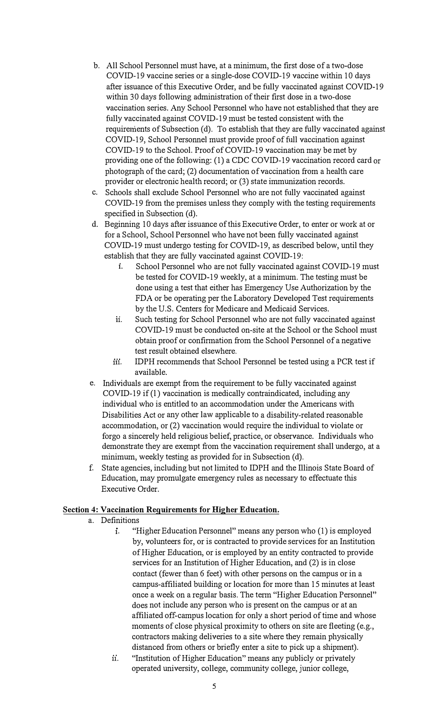- **b. All School Personnel must have, at a minimum, the first dose of a two-dose COVID-19 vaccine series or a single-dose COVID-19 vaccine within 10 days after issuance of this Executive Order, and be fully vaccinated against COVID-19 within 30 days following administration of their first dose in a two-dose vaccination series. Any School Personnel who have not established that they are fully vaccinated against COVID-19 must be tested consistent with the**  requirements of Subsection (d). To establish that they are fully vaccinated against **COVID-19, School Personnel must provide proof of full vaccination against COVID-19 to the School. Proof of COVID-19 vaccination may be met by providing one of the following: (1) a CDC COVID-19 vaccination record card or photograph of the card; (2) documentation of vaccination from a health care provider or electronic health record; or (3) state immunization records.**
- **c. Schools shall exclude School Personnel who are not fully vaccinated against COVID-19 from the premises unless they comply with the testing requirements**  specified in Subsection (d).
- **d. Beginning 10 days after issuance of this Executive Order, to enter or work at or for a School, School Personnel who have not been fully vaccinated against COVID-19 must undergo testing for COVID-19, as described below, until they establish that they are fully vaccinated against COVID-19:** 
	- **1. School Personnel who are not fully vaccinated against COVID-19 must be tested for COVID-19 weekly, at a minimum. The testing must be done using a test that either has Emergency Use Authorization by the**  FDA or be operating per the Laboratory Developed Test requirements **by the U.S. Centers for Medicare and Medicaid Services.**
	- **11. Such testing for School Personnel who are not fully vaccinated against COVID-19 must be conducted on-site at the School or the School must obtain proof or confirmation from the School Personnel of a negative test result obtained elsewhere.**
	- **m. IDPH recommends that School Personnel be tested using a PCR test if available.**
- **e. Individuals are exempt from the requirement to be fully vaccinated against COVID-19 if(l) vaccination is medically contraindicated, including any individual who is entitled to an accommodation under the Americans with Disabilities Act or any other law applicable to a disability-related reasonable accommodation, or (2) vaccination would require the individual to violate or forgo a sincerely held religious belief, practice, or observance. Individuals who demonstrate they are exempt from the vaccination requirement shall undergo, at a**  minimum, weekly testing as provided for in Subsection (d).
- **f. State agencies, including but not limited to IDPH and the Illinois State Board of Education, may promulgate emergency rules as necessary to effectuate this Executive Order.**

# **Section 4: Vaccination Requirements for Higher Education.**

- **a. Definitions** 
	- **1. "Higher Education Personnel" means any person who (1) is employed by, volunteers for, or is contracted to provide services for an Institution of Higher Education, or is employed by an entity contracted to provide services for an Institution of Higher Education, and (2) is in close contact (fewer than 6 feet) with other persons on the campus or in a campus-affiliated building or location for more than 15 minutes at least once a week on a regular basis. The term "Higher Education Personnel" does not include any person who is present on the campus or at an affiliated off-campus location for only a short period oftime and whose**  moments of close physical proximity to others on site are fleeting (e.g., contractors making deliveries to a site where they remain physically **distanced from others or briefly enter a site to pick up a shipment).**
	- **11. "Institution of Higher Education" means any publicly or privately operated university, college, community college, junior college,**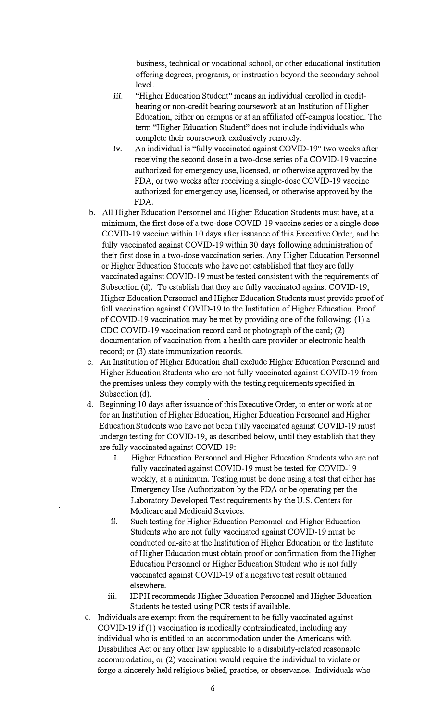**business, technical or vocational school, or other educational institution offering degrees, programs, or instruction beyond the secondary school level.** 

- iii. "Higher Education Student" means an individual enrolled in credit**bearing or non-credit bearing coursework at an Institution of Higher Education, either on campus or at an affiliated off-campus location. The tenn "Higher Education Student" does not include individuals who complete their coursework exclusively remotely.**
- **1v. An individual is "fully vaccinated against COVID-19" two weeks after receiving the second dose in a two-dose series of a COVID-19 vaccine authorized for emergency use, licensed, or otherwise approved by the FDA, or two weeks after receiving a single-dose COVID-19 vaccine authorized for emergency use, licensed, or otherwise approved by the FDA.**
- **b. All Higher Education Personnel and Higher Education Students must have, at a minimum, the first dose of a two-dose COVID-19 vaccine series or a single-dose COVID-19 vaccine within 10 days after issuance of this Executive Order, and be fully vaccinated against COVID-19 within 30 days following administration of their first dose in a two-dose vaccination series. Any Higher Education Personnel or Higher Education Students who have not established that they are fully vaccinated against COVID-19 must be tested consistent with the requirements of Subsection (d). To establish that they are fully vaccinated against COVID-19,**  Higher Education Persomel and Higher Education Students must provide proof of **full vaccination against COVID-19 to the Institution of Higher Education. Proof of COVID-19 vaccination may be met by providing one of the following: (1) a CDC COVID-19 vaccination record card or photograph of the card; (2) documentation of vaccination from a health care provider or electronic health record; or (3) state immunization records.**
- **c. An Institution of Higher Education shall exclude Higher Education Personnel and Higher Education Students who are not fully vaccinated against COVID-19 from the premises unless they comply with the testing requirements specified in**  Subsection (d).
- **d. Beginning 10 days after issuance of this Executive Order, to enter or work at or for an Institution of Higher Education, Higher Education Personnel and Higher Education Students who have not been fully vaccinated against COVID-19 must undergo testing for COVID-19, as described below, until they establish that they are fully vaccinated against COVID-19:** 
	- **1. Higher Education Personnel and Higher Education Students who are not fully vaccinated against COVID-19 must be tested for COVID-19 weekly, at a minimum. Testing must be done using a test that either has Emergency Use Authorization by the FDA or be operating per the Laboratory Developed Test requirements by the U.S. Centers for Medicare and Medicaid Services.**
	- ii. Such testing for Higher Education Persomel and Higher Education **Students who are not fully vaccinated against COVID-19 must be conducted on-site at the Institution of Higher Education or the Institute of Higher Education must obtain proof or confinnation from the Higher Education Personnel or Higher Education Student who is not fully vaccinated against COVID-19 of a negative test result obtained elsewhere.**
	- **iii. IDPH recommends Higher Education Personnel and Higher Education Students be tested using PCR tests if available.**
- **e. Individuals are exempt from the requirement to be fully vaccinated against COVID-19 if(l) vaccination is medically contraindicated, including any individual who is entitled to an accommodation under the Americans with Disabilities Act or any other law applicable to a disability-related reasonable**  accommodation, or (2) vaccination would require the individual to violate or **forgo a sincerely held religious belief, practice, or observance. Individuals who**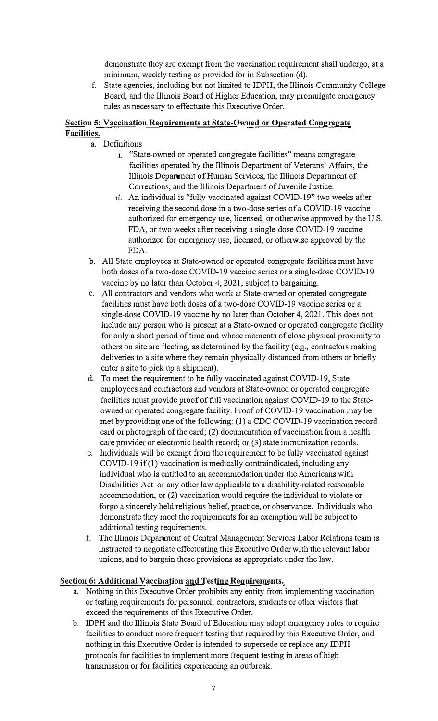**demonstrate they are exempt from the vaccination requirement shall undergo, at a**  minimum, weekly testing as provided for in Subsection (d).

**f. State agencies, including but not limited to IDPH, the Illinois Community College Board, and the Illinois Board of Higher Education, may promulgate emergency rules as necessary to effectuate this Executive Order.** 

#### **Section 5: Vaccination Requirements at State-Owned or Operated Congregate Facilities.**

- **a. Definitions** 
	- **1. "State-owned or operated congregate facilities" means congregate facilities operated by the Illinois Department of Veterans' Affairs, the Illinois Department of Human Services, the Illinois Department of Corrections, and the Illinois Department of Juvenile Justice.**
	- 11. **An individual is "fully vaccinated against COVID-19" two weeks after receiving the second dose in a two-dose series ofa COVID-19 vaccine authorized for emergency use, licensed, or otherwise approved by the U.S. FDA, or two weeks after receiving a single-dose COVID-19 vaccine authorized for emergency use, licensed, or otherwise approved by the FDA.**
- **b. All State employees at State-owned or operated congregate facilities must have both doses of a two-dose COVID-19 vaccine series or a single-dose COVID-19 vaccine by no later than October 4, 2021, subject to bargaining.**
- **c. All contractors and vendors who work at State-owned or operated congregate facilities must have both doses of a two-dose COVID-19 vaccine series or a single-dose COVID-19 vaccine by no later than October 4, 2021. This does not include any person who is present at a State-owned or operated congregate facility for only a short period of time and whose moments of close physical proximity to others on site are fleeting, as determined by the facility ( e.g., contractors making deliveries to a site where they remain physically distanced from others or briefly enter a site to pick up a shipment).**
- **d. To meet the requirement to be fully vaccinated against COVID-19, State employees and contractors and vendors at State-owned or operated congregate facilities must provide proof of full vaccination against COVID-19 to the Stateowned or operated congregate facility. Proof of COVID-19 vaccination may be met by providing one of the following: (1) a CDC COVID-19 vaccination record card or photograph of the card; (2) documentation of vaccination from a health care provider or electronic health record; or (3) state immunization records.**
- **e. Individuals will be exempt from the requirement to be fully vaccinated against COVID-19 if(l) vaccination is medically contraindicated, including any individual who is entitled to an accommodation under the Americans with Disabilities Act or any other law applicable to a disability-related reasonable accommodation, or (2) vaccination would require the individual to violate or forgo a sincerely held religious belief, practice, or observance. Individuals who demonstrate they meet the requirements for an exemption will be subject to additional testing requirements.**
- **f. The Illinois Department of Central Management Services Labor Relations team is instructed to negotiate effectuating this Executive Order with the relevant labor unions, and to bargain these provisions as appropriate under the law.**

# **Section 6: Additional Vaccination and Testing Requirements.**

- **a. Nothing in this Executive Order prohibits any entity from implementing vaccination or testing requirements for personnel, contractors, students or other visitors that exceed the requirements of this Executive Order.**
- **b. IDPH and the Illinois State Board of Education may adopt emergency rules to require facilities to conduct more frequent testing that required by this Executive Order, and nothing in this Executive Order is intended to supersede or replace any IDPH protocols for facilities to implement more frequent testing in areas of high transmission or for facilities experiencing an outbreak.**